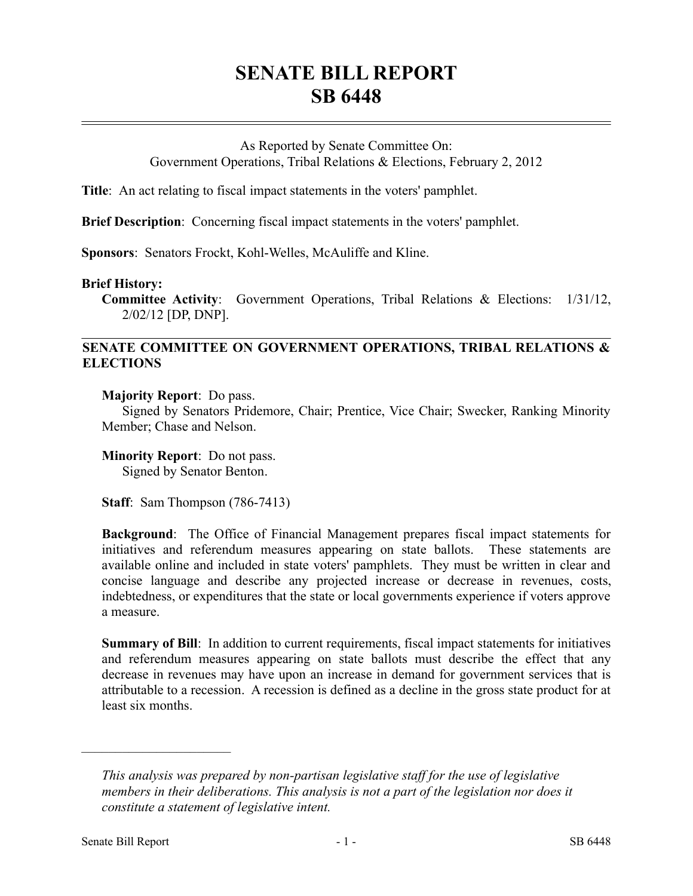## **SENATE BILL REPORT SB 6448**

## As Reported by Senate Committee On: Government Operations, Tribal Relations & Elections, February 2, 2012

**Title**: An act relating to fiscal impact statements in the voters' pamphlet.

**Brief Description**: Concerning fiscal impact statements in the voters' pamphlet.

**Sponsors**: Senators Frockt, Kohl-Welles, McAuliffe and Kline.

## **Brief History:**

**Committee Activity**: Government Operations, Tribal Relations & Elections: 1/31/12, 2/02/12 [DP, DNP].

## **SENATE COMMITTEE ON GOVERNMENT OPERATIONS, TRIBAL RELATIONS & ELECTIONS**

**Majority Report**: Do pass.

Signed by Senators Pridemore, Chair; Prentice, Vice Chair; Swecker, Ranking Minority Member; Chase and Nelson.

**Minority Report**: Do not pass. Signed by Senator Benton.

**Staff**: Sam Thompson (786-7413)

**Background**: The Office of Financial Management prepares fiscal impact statements for initiatives and referendum measures appearing on state ballots. These statements are available online and included in state voters' pamphlets. They must be written in clear and concise language and describe any projected increase or decrease in revenues, costs, indebtedness, or expenditures that the state or local governments experience if voters approve a measure.

**Summary of Bill**: In addition to current requirements, fiscal impact statements for initiatives and referendum measures appearing on state ballots must describe the effect that any decrease in revenues may have upon an increase in demand for government services that is attributable to a recession. A recession is defined as a decline in the gross state product for at least six months.

––––––––––––––––––––––

*This analysis was prepared by non-partisan legislative staff for the use of legislative members in their deliberations. This analysis is not a part of the legislation nor does it constitute a statement of legislative intent.*